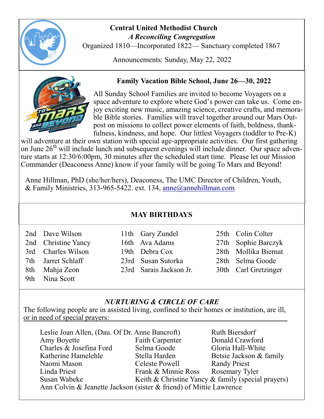

#### **Central United Methodist Church**  *A Reconciling Congregation*

Organized 1810—Incorporated 1822— Sanctuary completed 1867

Announcements: Sunday, May 22, 2022



## **Family Vacation Bible School, June 26—30, 2022**

All Sunday School Families are invited to become Voyagers on a space adventure to explore where God's power can take us. Come enjoy exciting new music, amazing science, creative crafts, and memorable Bible stories. Families will travel together around our Mars Outpost on missions to collect power elements of faith, boldness, thankfulness, kindness, and hope. Our littlest Voyagers (toddler to Pre-K)

will adventure at their own station with special age-appropriate activities. Our first gathering on June 26<sup>th</sup> will include lunch and subsequent evenings will include dinner. Our space adventure starts at 12:30/6:00pm, 30 minutes after the scheduled start time. Please let our Mission Commander (Deaconess Anne) know if your family will be going To Mars and Beyond!

Anne Hillman, PhD (she/her/hers), Deaconess, The UMC Director of Children, Youth, & Family Ministries, 313-965-5422. ext. 134, [anne@annehillman.com](mailto:anne@annehillman.com)

#### **MAY BIRTHDAYS**

|     | 2nd Dave Wilson     | 11th Gary Zundel        | 25th Colin Colter    |
|-----|---------------------|-------------------------|----------------------|
|     | 2nd Christine Yancy | 16th Ava Adams          | 27th Sophie Barczyk  |
|     | 3rd Charles Wilson  | 19th Debra Cox          | 28th Mollika Biernat |
|     | 7th Jarret Schlaff  | 23rd Susan Sutorka      | 28th Selma Goode     |
|     | 8th Mahja Zeon      | 23rd Sarais Jackson Jr. | 30th Carl Gretzinger |
| 9th | Nina Scott          |                         |                      |

#### *NURTURING & CIRCLE OF CARE*

The following people are in assisted living, confined to their homes or institution, are ill, or in need of special prayers:

| Leslie Joan Allen, (Dau. Of Dr. Anne Bancroft)                     |                        | Ruth Biersdorf                                     |  |  |  |
|--------------------------------------------------------------------|------------------------|----------------------------------------------------|--|--|--|
| Amy Boyette                                                        | <b>Faith Carpenter</b> | Donald Crawford                                    |  |  |  |
| Charles & Josefina Ford                                            | Selma Goode            | Gloria Hall-White                                  |  |  |  |
| Katherine Hamelehle                                                | Stella Harden          | Betsie Jackson & family                            |  |  |  |
| Naomi Mason                                                        | Celeste Powell         | <b>Randy Priest</b>                                |  |  |  |
| Linda Priest                                                       | Frank & Minnie Ross    | Rosemary Tyler                                     |  |  |  |
| Susan Wabeke                                                       |                        | Keith & Christine Yancy & family (special prayers) |  |  |  |
| Ann Colvin & Jeanette Jackson (sister & friend) of Mittie Lawrence |                        |                                                    |  |  |  |